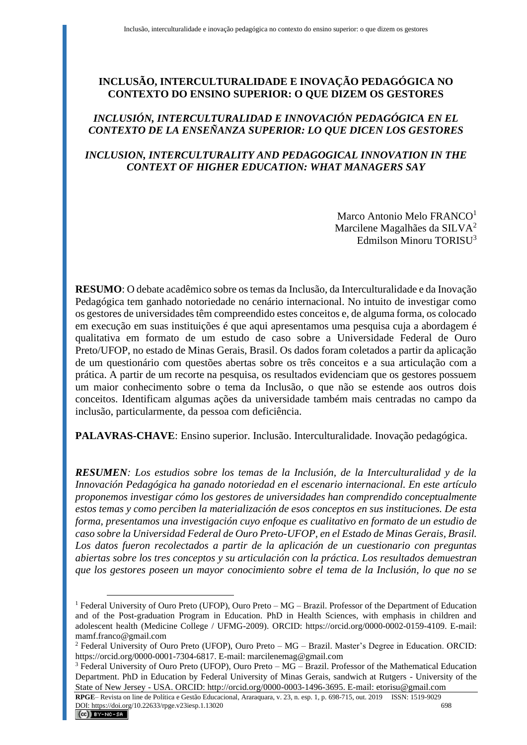# **INCLUSÃO, INTERCULTURALIDADE E INOVAÇÃO PEDAGÓGICA NO CONTEXTO DO ENSINO SUPERIOR: O QUE DIZEM OS GESTORES**

# *INCLUSIÓN, INTERCULTURALIDAD E INNOVACIÓN PEDAGÓGICA EN EL CONTEXTO DE LA ENSEÑANZA SUPERIOR: LO QUE DICEN LOS GESTORES*

# *INCLUSION, INTERCULTURALITY AND PEDAGOGICAL INNOVATION IN THE CONTEXT OF HIGHER EDUCATION: WHAT MANAGERS SAY*

Marco Antonio Melo FRANCO<sup>1</sup> Marcilene Magalhães da SILVA $2$ Edmilson Minoru TORISU<sup>3</sup>

**RESUMO**: O debate acadêmico sobre os temas da Inclusão, da Interculturalidade e da Inovação Pedagógica tem ganhado notoriedade no cenário internacional. No intuito de investigar como os gestores de universidades têm compreendido estes conceitos e, de alguma forma, os colocado em execução em suas instituições é que aqui apresentamos uma pesquisa cuja a abordagem é qualitativa em formato de um estudo de caso sobre a Universidade Federal de Ouro Preto/UFOP, no estado de Minas Gerais, Brasil. Os dados foram coletados a partir da aplicação de um questionário com questões abertas sobre os três conceitos e a sua articulação com a prática. A partir de um recorte na pesquisa, os resultados evidenciam que os gestores possuem um maior conhecimento sobre o tema da Inclusão, o que não se estende aos outros dois conceitos. Identificam algumas ações da universidade também mais centradas no campo da inclusão, particularmente, da pessoa com deficiência.

**PALAVRAS-CHAVE**: Ensino superior. Inclusão. Interculturalidade. Inovação pedagógica.

*RESUMEN: Los estudios sobre los temas de la Inclusión, de la Interculturalidad y de la Innovación Pedagógica ha ganado notoriedad en el escenario internacional. En este artículo proponemos investigar cómo los gestores de universidades han comprendido conceptualmente estos temas y como perciben la materialización de esos conceptos en sus instituciones. De esta forma, presentamos una investigación cuyo enfoque es cualitativo en formato de un estudio de caso sobre la Universidad Federal de Ouro Preto-UFOP, en el Estado de Minas Gerais, Brasil. Los datos fueron recolectados a partir de la aplicación de un cuestionario con preguntas abiertas sobre los tres conceptos y su articulación con la práctica. Los resultados demuestran que los gestores poseen un mayor conocimiento sobre el tema de la Inclusión, lo que no se* 

<sup>&</sup>lt;sup>1</sup> Federal University of Ouro Preto (UFOP), Ouro Preto –  $MG - Brazil$ . Professor of the Department of Education and of the Post-graduation Program in Education. PhD in Health Sciences, with emphasis in children and adolescent health (Medicine College / UFMG-2009). ORCID: https://orcid.org/0000-0002-0159-4109. E-mail: mamf.franco@gmail.com

<sup>2</sup> Federal University of Ouro Preto (UFOP), Ouro Preto – MG – Brazil. Master's Degree in Education. ORCID: https://orcid.org/0000-0001-7304-6817. E-mail: marcilenemag@gmail.com

 $3$  Federal University of Ouro Preto (UFOP), Ouro Preto –  $\overline{MG}$  – Brazil. Professor of the Mathematical Education Department. PhD in Education by Federal University of Minas Gerais, sandwich at Rutgers - University of the State of New Jersey - USA. ORCID: http://orcid.org/0000-0003-1496-3695. E-mail: etorisu@gmail.com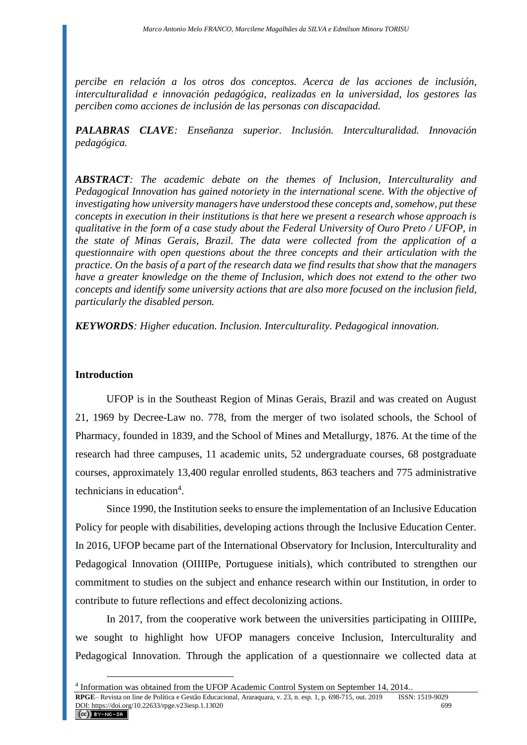*percibe en relación a los otros dos conceptos. Acerca de las acciones de inclusión, interculturalidad e innovación pedagógica, realizadas en la universidad, los gestores las perciben como acciones de inclusión de las personas con discapacidad.*

*PALABRAS CLAVE: Enseñanza superior. Inclusión. Interculturalidad. Innovación pedagógica.*

*ABSTRACT: The academic debate on the themes of Inclusion, Interculturality and Pedagogical Innovation has gained notoriety in the international scene. With the objective of investigating how university managers have understood these concepts and, somehow, put these concepts in execution in their institutions is that here we present a research whose approach is qualitative in the form of a case study about the Federal University of Ouro Preto / UFOP, in the state of Minas Gerais, Brazil. The data were collected from the application of a questionnaire with open questions about the three concepts and their articulation with the practice. On the basis of a part of the research data we find results that show that the managers have a greater knowledge on the theme of Inclusion, which does not extend to the other two concepts and identify some university actions that are also more focused on the inclusion field, particularly the disabled person.*

*KEYWORDS: Higher education. Inclusion. Interculturality. Pedagogical innovation.*

### **Introduction**

UFOP is in the Southeast Region of Minas Gerais, Brazil and was created on August 21, 1969 by Decree-Law no. 778, from the merger of two isolated schools, the School of Pharmacy, founded in 1839, and the School of Mines and Metallurgy, 1876. At the time of the research had three campuses, 11 academic units, 52 undergraduate courses, 68 postgraduate courses, approximately 13,400 regular enrolled students, 863 teachers and 775 administrative technicians in education<sup>4</sup>.

Since 1990, the Institution seeks to ensure the implementation of an Inclusive Education Policy for people with disabilities, developing actions through the Inclusive Education Center. In 2016, UFOP became part of the International Observatory for Inclusion, Interculturality and Pedagogical Innovation (OIIIIPe, Portuguese initials), which contributed to strengthen our commitment to studies on the subject and enhance research within our Institution, in order to contribute to future reflections and effect decolonizing actions.

In 2017, from the cooperative work between the universities participating in OIIIIPe, we sought to highlight how UFOP managers conceive Inclusion, Interculturality and Pedagogical Innovation. Through the application of a questionnaire we collected data at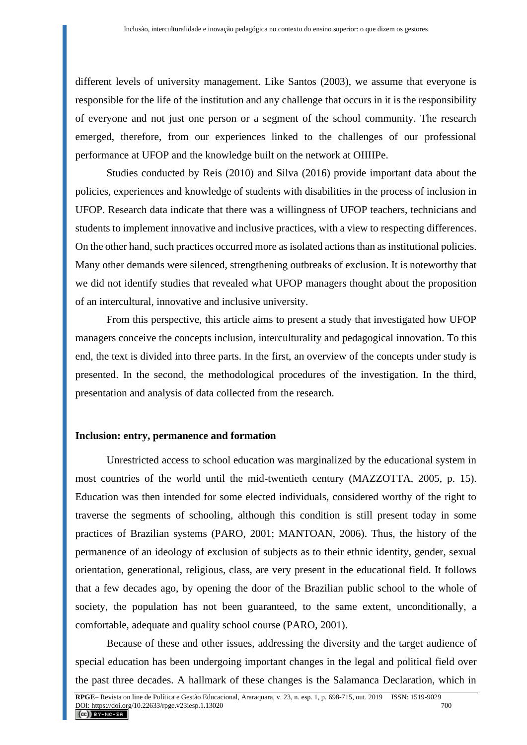different levels of university management. Like Santos (2003), we assume that everyone is responsible for the life of the institution and any challenge that occurs in it is the responsibility of everyone and not just one person or a segment of the school community. The research emerged, therefore, from our experiences linked to the challenges of our professional performance at UFOP and the knowledge built on the network at OIIIIPe.

Studies conducted by Reis (2010) and Silva (2016) provide important data about the policies, experiences and knowledge of students with disabilities in the process of inclusion in UFOP. Research data indicate that there was a willingness of UFOP teachers, technicians and students to implement innovative and inclusive practices, with a view to respecting differences. On the other hand, such practices occurred more as isolated actions than as institutional policies. Many other demands were silenced, strengthening outbreaks of exclusion. It is noteworthy that we did not identify studies that revealed what UFOP managers thought about the proposition of an intercultural, innovative and inclusive university.

From this perspective, this article aims to present a study that investigated how UFOP managers conceive the concepts inclusion, interculturality and pedagogical innovation. To this end, the text is divided into three parts. In the first, an overview of the concepts under study is presented. In the second, the methodological procedures of the investigation. In the third, presentation and analysis of data collected from the research.

#### **Inclusion: entry, permanence and formation**

Unrestricted access to school education was marginalized by the educational system in most countries of the world until the mid-twentieth century (MAZZOTTA, 2005, p. 15). Education was then intended for some elected individuals, considered worthy of the right to traverse the segments of schooling, although this condition is still present today in some practices of Brazilian systems (PARO, 2001; MANTOAN, 2006). Thus, the history of the permanence of an ideology of exclusion of subjects as to their ethnic identity, gender, sexual orientation, generational, religious, class, are very present in the educational field. It follows that a few decades ago, by opening the door of the Brazilian public school to the whole of society, the population has not been guaranteed, to the same extent, unconditionally, a comfortable, adequate and quality school course (PARO, 2001).

Because of these and other issues, addressing the diversity and the target audience of special education has been undergoing important changes in the legal and political field over the past three decades. A hallmark of these changes is the Salamanca Declaration, which in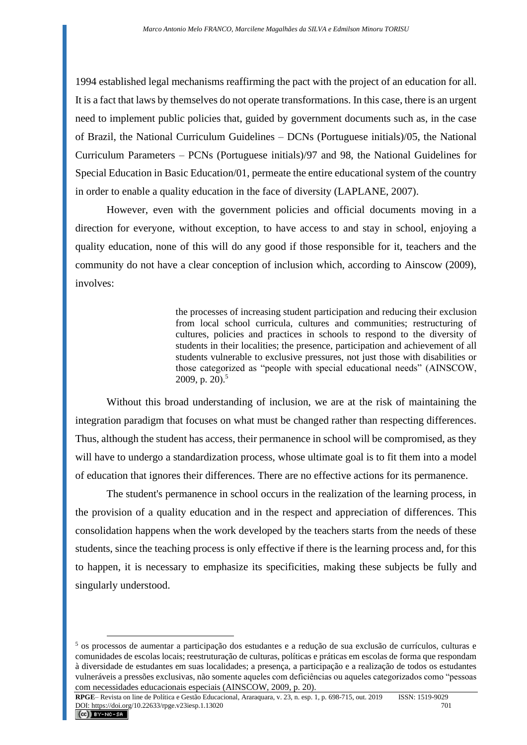1994 established legal mechanisms reaffirming the pact with the project of an education for all. It is a fact that laws by themselves do not operate transformations. In this case, there is an urgent need to implement public policies that, guided by government documents such as, in the case of Brazil, the National Curriculum Guidelines – DCNs (Portuguese initials)/05, the National Curriculum Parameters – PCNs (Portuguese initials)/97 and 98, the National Guidelines for Special Education in Basic Education/01, permeate the entire educational system of the country in order to enable a quality education in the face of diversity (LAPLANE, 2007).

However, even with the government policies and official documents moving in a direction for everyone, without exception, to have access to and stay in school, enjoying a quality education, none of this will do any good if those responsible for it, teachers and the community do not have a clear conception of inclusion which, according to Ainscow (2009), involves:

> the processes of increasing student participation and reducing their exclusion from local school curricula, cultures and communities; restructuring of cultures, policies and practices in schools to respond to the diversity of students in their localities; the presence, participation and achievement of all students vulnerable to exclusive pressures, not just those with disabilities or those categorized as "people with special educational needs" (AINSCOW, 2009, p. 20 $1<sup>5</sup>$

Without this broad understanding of inclusion, we are at the risk of maintaining the integration paradigm that focuses on what must be changed rather than respecting differences. Thus, although the student has access, their permanence in school will be compromised, as they will have to undergo a standardization process, whose ultimate goal is to fit them into a model of education that ignores their differences. There are no effective actions for its permanence.

The student's permanence in school occurs in the realization of the learning process, in the provision of a quality education and in the respect and appreciation of differences. This consolidation happens when the work developed by the teachers starts from the needs of these students, since the teaching process is only effective if there is the learning process and, for this to happen, it is necessary to emphasize its specificities, making these subjects be fully and singularly understood.

<sup>5</sup> os processos de aumentar a participação dos estudantes e a redução de sua exclusão de currículos, culturas e comunidades de escolas locais; reestruturação de culturas, políticas e práticas em escolas de forma que respondam à diversidade de estudantes em suas localidades; a presença, a participação e a realização de todos os estudantes vulneráveis a pressões exclusivas, não somente aqueles com deficiências ou aqueles categorizados como "pessoas com necessidades educacionais especiais (AINSCOW, 2009, p. 20).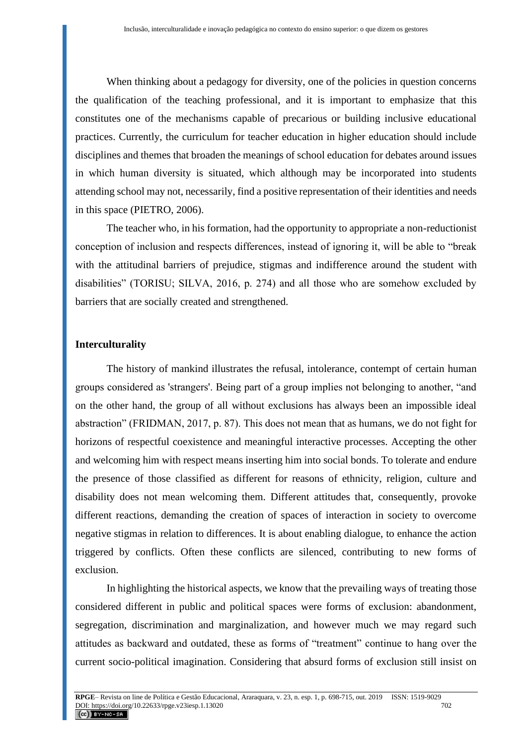When thinking about a pedagogy for diversity, one of the policies in question concerns the qualification of the teaching professional, and it is important to emphasize that this constitutes one of the mechanisms capable of precarious or building inclusive educational practices. Currently, the curriculum for teacher education in higher education should include disciplines and themes that broaden the meanings of school education for debates around issues in which human diversity is situated, which although may be incorporated into students attending school may not, necessarily, find a positive representation of their identities and needs in this space (PIETRO, 2006).

The teacher who, in his formation, had the opportunity to appropriate a non-reductionist conception of inclusion and respects differences, instead of ignoring it, will be able to "break with the attitudinal barriers of prejudice, stigmas and indifference around the student with disabilities" (TORISU; SILVA, 2016, p. 274) and all those who are somehow excluded by barriers that are socially created and strengthened.

### **Interculturality**

The history of mankind illustrates the refusal, intolerance, contempt of certain human groups considered as 'strangers'. Being part of a group implies not belonging to another, "and on the other hand, the group of all without exclusions has always been an impossible ideal abstraction" (FRIDMAN, 2017, p. 87). This does not mean that as humans, we do not fight for horizons of respectful coexistence and meaningful interactive processes. Accepting the other and welcoming him with respect means inserting him into social bonds. To tolerate and endure the presence of those classified as different for reasons of ethnicity, religion, culture and disability does not mean welcoming them. Different attitudes that, consequently, provoke different reactions, demanding the creation of spaces of interaction in society to overcome negative stigmas in relation to differences. It is about enabling dialogue, to enhance the action triggered by conflicts. Often these conflicts are silenced, contributing to new forms of exclusion.

In highlighting the historical aspects, we know that the prevailing ways of treating those considered different in public and political spaces were forms of exclusion: abandonment, segregation, discrimination and marginalization, and however much we may regard such attitudes as backward and outdated, these as forms of "treatment" continue to hang over the current socio-political imagination. Considering that absurd forms of exclusion still insist on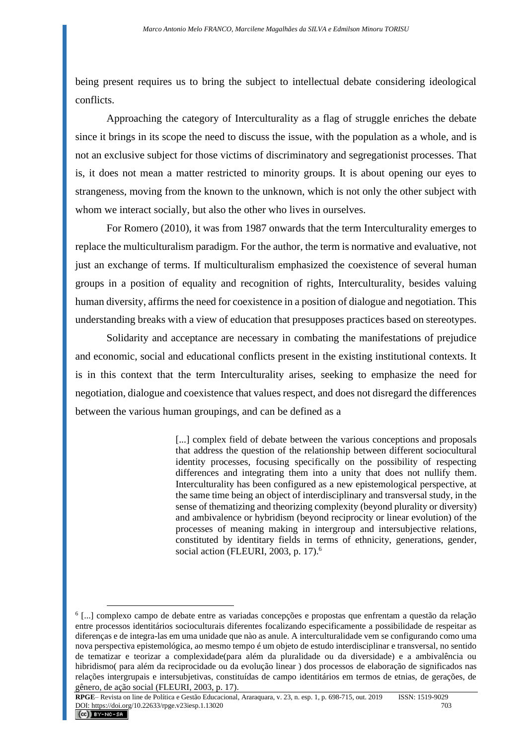being present requires us to bring the subject to intellectual debate considering ideological conflicts.

Approaching the category of Interculturality as a flag of struggle enriches the debate since it brings in its scope the need to discuss the issue, with the population as a whole, and is not an exclusive subject for those victims of discriminatory and segregationist processes. That is, it does not mean a matter restricted to minority groups. It is about opening our eyes to strangeness, moving from the known to the unknown, which is not only the other subject with whom we interact socially, but also the other who lives in ourselves.

For Romero (2010), it was from 1987 onwards that the term Interculturality emerges to replace the multiculturalism paradigm. For the author, the term is normative and evaluative, not just an exchange of terms. If multiculturalism emphasized the coexistence of several human groups in a position of equality and recognition of rights, Interculturality, besides valuing human diversity, affirms the need for coexistence in a position of dialogue and negotiation. This understanding breaks with a view of education that presupposes practices based on stereotypes.

Solidarity and acceptance are necessary in combating the manifestations of prejudice and economic, social and educational conflicts present in the existing institutional contexts. It is in this context that the term Interculturality arises, seeking to emphasize the need for negotiation, dialogue and coexistence that values respect, and does not disregard the differences between the various human groupings, and can be defined as a

> [...] complex field of debate between the various conceptions and proposals that address the question of the relationship between different sociocultural identity processes, focusing specifically on the possibility of respecting differences and integrating them into a unity that does not nullify them. Interculturality has been configured as a new epistemological perspective, at the same time being an object of interdisciplinary and transversal study, in the sense of thematizing and theorizing complexity (beyond plurality or diversity) and ambivalence or hybridism (beyond reciprocity or linear evolution) of the processes of meaning making in intergroup and intersubjective relations, constituted by identitary fields in terms of ethnicity, generations, gender, social action (FLEURI, 2003, p. 17).<sup>6</sup>

<sup>6</sup> [...] complexo campo de debate entre as variadas concepções e propostas que enfrentam a questão da relação entre processos identitários socioculturais diferentes focalizando especificamente a possibilidade de respeitar as diferenças e de integra-las em uma unidade que nào as anule. A interculturalidade vem se configurando como uma nova perspectiva epistemológica, ao mesmo tempo é um objeto de estudo interdisciplinar e transversal, no sentido de tematizar e teorizar a complexidade(para além da pluralidade ou da diversidade) e a ambivalência ou hibridismo( para além da reciprocidade ou da evolução linear ) dos processos de elaboração de significados nas relações intergrupais e intersubjetivas, constituídas de campo identitários em termos de etnias, de gerações, de gênero, de ação social (FLEURI, 2003, p. 17).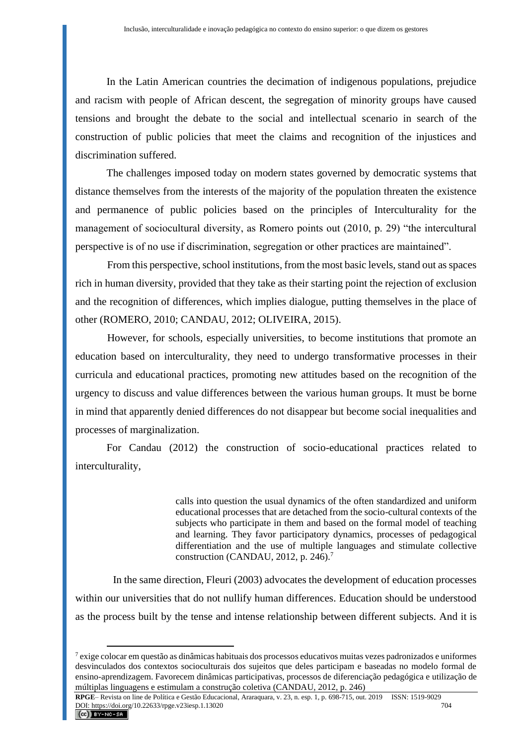In the Latin American countries the decimation of indigenous populations, prejudice and racism with people of African descent, the segregation of minority groups have caused tensions and brought the debate to the social and intellectual scenario in search of the construction of public policies that meet the claims and recognition of the injustices and discrimination suffered.

The challenges imposed today on modern states governed by democratic systems that distance themselves from the interests of the majority of the population threaten the existence and permanence of public policies based on the principles of Interculturality for the management of sociocultural diversity, as Romero points out (2010, p. 29) "the intercultural perspective is of no use if discrimination, segregation or other practices are maintained".

From this perspective, school institutions, from the most basic levels, stand out as spaces rich in human diversity, provided that they take as their starting point the rejection of exclusion and the recognition of differences, which implies dialogue, putting themselves in the place of other (ROMERO, 2010; CANDAU, 2012; OLIVEIRA, 2015).

However, for schools, especially universities, to become institutions that promote an education based on interculturality, they need to undergo transformative processes in their curricula and educational practices, promoting new attitudes based on the recognition of the urgency to discuss and value differences between the various human groups. It must be borne in mind that apparently denied differences do not disappear but become social inequalities and processes of marginalization.

For Candau (2012) the construction of socio-educational practices related to interculturality,

> calls into question the usual dynamics of the often standardized and uniform educational processes that are detached from the socio-cultural contexts of the subjects who participate in them and based on the formal model of teaching and learning. They favor participatory dynamics, processes of pedagogical differentiation and the use of multiple languages and stimulate collective construction (CANDAU, 2012, p.  $246$ ).<sup>7</sup>

In the same direction, Fleuri (2003) advocates the development of education processes within our universities that do not nullify human differences. Education should be understood as the process built by the tense and intense relationship between different subjects. And it is

<sup>7</sup> exige colocar em questão as dinâmicas habituais dos processos educativos muitas vezes padronizados e uniformes desvinculados dos contextos socioculturais dos sujeitos que deles participam e baseadas no modelo formal de ensino-aprendizagem. Favorecem dinâmicas participativas, processos de diferenciação pedagógica e utilização de múltiplas linguagens e estimulam a construção coletiva (CANDAU, 2012, p. 246)

**RPGE**– Revista on line de Política e Gestão Educacional, Araraquara, v. 23, n. esp. 1, p. 698-715, out. 2019 ISSN: 1519-9029 DOI: https://doi.org/10.22633/rpge.v23iesp.1.13020 704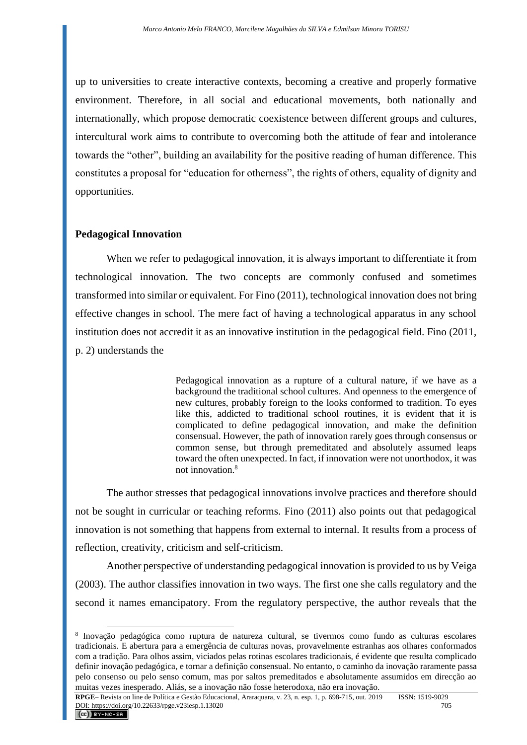up to universities to create interactive contexts, becoming a creative and properly formative environment. Therefore, in all social and educational movements, both nationally and internationally, which propose democratic coexistence between different groups and cultures, intercultural work aims to contribute to overcoming both the attitude of fear and intolerance towards the "other", building an availability for the positive reading of human difference. This constitutes a proposal for "education for otherness", the rights of others, equality of dignity and opportunities.

#### **Pedagogical Innovation**

When we refer to pedagogical innovation, it is always important to differentiate it from technological innovation. The two concepts are commonly confused and sometimes transformed into similar or equivalent. For Fino (2011), technological innovation does not bring effective changes in school. The mere fact of having a technological apparatus in any school institution does not accredit it as an innovative institution in the pedagogical field. Fino (2011, p. 2) understands the

> Pedagogical innovation as a rupture of a cultural nature, if we have as a background the traditional school cultures. And openness to the emergence of new cultures, probably foreign to the looks conformed to tradition. To eyes like this, addicted to traditional school routines, it is evident that it is complicated to define pedagogical innovation, and make the definition consensual. However, the path of innovation rarely goes through consensus or common sense, but through premeditated and absolutely assumed leaps toward the often unexpected. In fact, if innovation were not unorthodox, it was not innovation.<sup>8</sup>

The author stresses that pedagogical innovations involve practices and therefore should not be sought in curricular or teaching reforms. Fino (2011) also points out that pedagogical innovation is not something that happens from external to internal. It results from a process of reflection, creativity, criticism and self-criticism.

Another perspective of understanding pedagogical innovation is provided to us by Veiga (2003). The author classifies innovation in two ways. The first one she calls regulatory and the second it names emancipatory. From the regulatory perspective, the author reveals that the

<sup>8</sup> Inovação pedagógica como ruptura de natureza cultural, se tivermos como fundo as culturas escolares tradicionais. E abertura para a emergência de culturas novas, provavelmente estranhas aos olhares conformados com a tradição. Para olhos assim, viciados pelas rotinas escolares tradicionais, é evidente que resulta complicado definir inovação pedagógica, e tornar a definição consensual. No entanto, o caminho da inovação raramente passa pelo consenso ou pelo senso comum, mas por saltos premeditados e absolutamente assumidos em direcção ao muitas vezes inesperado. Aliás, se a inovação não fosse heterodoxa, não era inovação.

**RPGE**– Revista on line de Política e Gestão Educacional, Araraquara, v. 23, n. esp. 1, p. 698-715, out. 2019 ISSN: 1519-9029 DOI: https://doi.org/10.22633/rpge.v23iesp.1.13020 705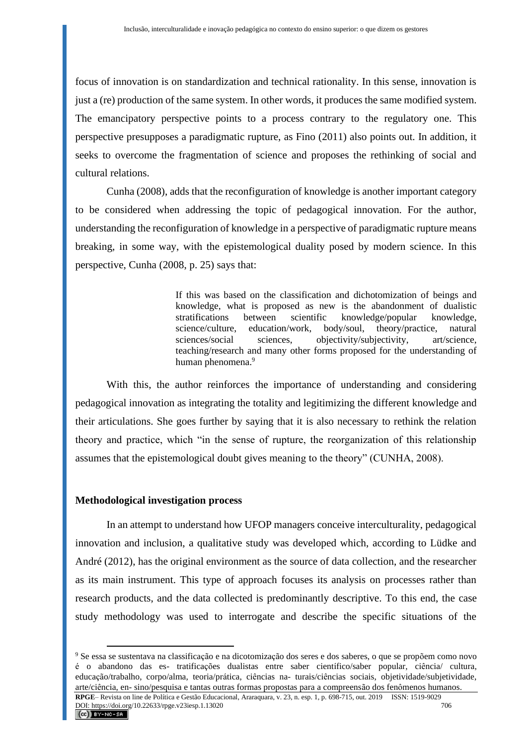focus of innovation is on standardization and technical rationality. In this sense, innovation is just a (re) production of the same system. In other words, it produces the same modified system. The emancipatory perspective points to a process contrary to the regulatory one. This perspective presupposes a paradigmatic rupture, as Fino (2011) also points out. In addition, it seeks to overcome the fragmentation of science and proposes the rethinking of social and cultural relations.

Cunha (2008), adds that the reconfiguration of knowledge is another important category to be considered when addressing the topic of pedagogical innovation. For the author, understanding the reconfiguration of knowledge in a perspective of paradigmatic rupture means breaking, in some way, with the epistemological duality posed by modern science. In this perspective, Cunha (2008, p. 25) says that:

> If this was based on the classification and dichotomization of beings and knowledge, what is proposed as new is the abandonment of dualistic stratifications between scientific knowledge/popular knowledge, science/culture, education/work, body/soul, theory/practice, natural sciences/social sciences, objectivity/subjectivity, art/science, teaching/research and many other forms proposed for the understanding of human phenomena.<sup>9</sup>

With this, the author reinforces the importance of understanding and considering pedagogical innovation as integrating the totality and legitimizing the different knowledge and their articulations. She goes further by saying that it is also necessary to rethink the relation theory and practice, which "in the sense of rupture, the reorganization of this relationship assumes that the epistemological doubt gives meaning to the theory" (CUNHA, 2008).

#### **Methodological investigation process**

In an attempt to understand how UFOP managers conceive interculturality, pedagogical innovation and inclusion, a qualitative study was developed which, according to Lüdke and André (2012), has the original environment as the source of data collection, and the researcher as its main instrument. This type of approach focuses its analysis on processes rather than research products, and the data collected is predominantly descriptive. To this end, the case study methodology was used to interrogate and describe the specific situations of the

<sup>9</sup> Se essa se sustentava na classificação e na dicotomização dos seres e dos saberes, o que se propõem como novo é o abandono das es- tratificações dualistas entre saber científico/saber popular, ciência/ cultura, educação/trabalho, corpo/alma, teoria/prática, ciências na- turais/ciências sociais, objetividade/subjetividade, arte/ciência, en- sino/pesquisa e tantas outras formas propostas para a compreensão dos fenômenos humanos.

**RPGE**– Revista on line de Política e Gestão Educacional, Araraquara, v. 23, n. esp. 1, p. 698-715, out. 2019 ISSN: 1519-9029 DOI: https://doi.org/10.22633/rpge.v23iesp.1.13020 DOI: https://doi.org/10.22633/rpge.v23iesp.1.13020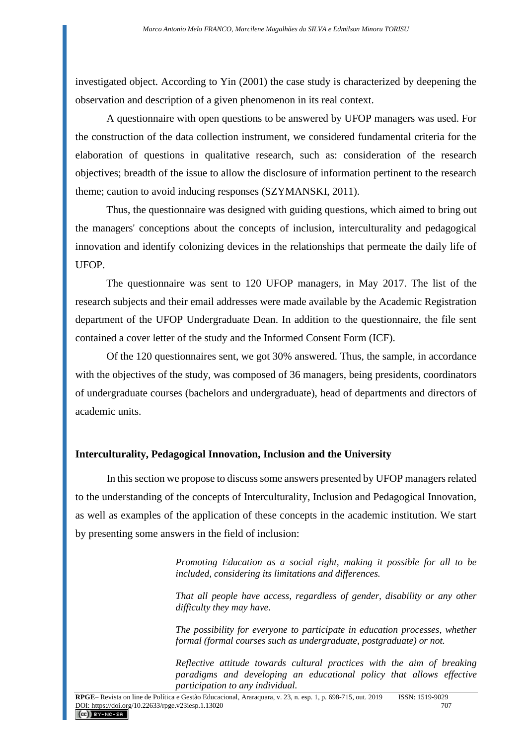investigated object. According to Yin (2001) the case study is characterized by deepening the observation and description of a given phenomenon in its real context.

A questionnaire with open questions to be answered by UFOP managers was used. For the construction of the data collection instrument, we considered fundamental criteria for the elaboration of questions in qualitative research, such as: consideration of the research objectives; breadth of the issue to allow the disclosure of information pertinent to the research theme; caution to avoid inducing responses (SZYMANSKI, 2011).

Thus, the questionnaire was designed with guiding questions, which aimed to bring out the managers' conceptions about the concepts of inclusion, interculturality and pedagogical innovation and identify colonizing devices in the relationships that permeate the daily life of UFOP.

The questionnaire was sent to 120 UFOP managers, in May 2017. The list of the research subjects and their email addresses were made available by the Academic Registration department of the UFOP Undergraduate Dean. In addition to the questionnaire, the file sent contained a cover letter of the study and the Informed Consent Form (ICF).

Of the 120 questionnaires sent, we got 30% answered. Thus, the sample, in accordance with the objectives of the study, was composed of 36 managers, being presidents, coordinators of undergraduate courses (bachelors and undergraduate), head of departments and directors of academic units.

#### **Interculturality, Pedagogical Innovation, Inclusion and the University**

In this section we propose to discuss some answers presented by UFOP managers related to the understanding of the concepts of Interculturality, Inclusion and Pedagogical Innovation, as well as examples of the application of these concepts in the academic institution. We start by presenting some answers in the field of inclusion:

> *Promoting Education as a social right, making it possible for all to be included, considering its limitations and differences.*

> *That all people have access, regardless of gender, disability or any other difficulty they may have.*

> *The possibility for everyone to participate in education processes, whether formal (formal courses such as undergraduate, postgraduate) or not.*

> *Reflective attitude towards cultural practices with the aim of breaking paradigms and developing an educational policy that allows effective participation to any individual.*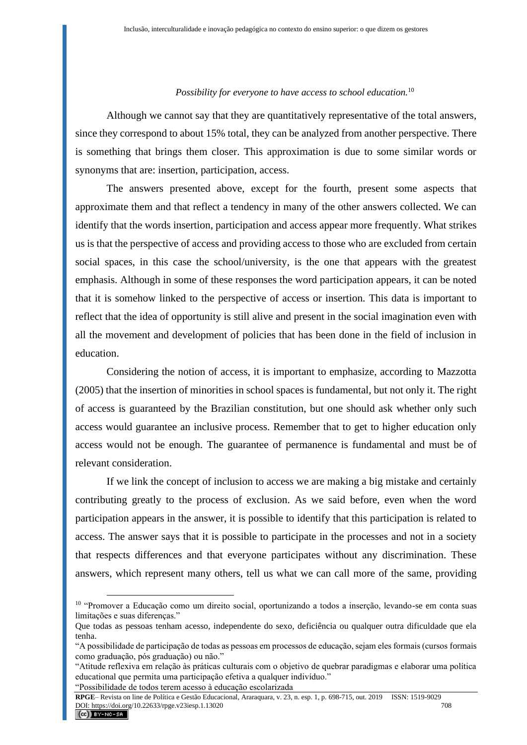#### *Possibility for everyone to have access to school education.*<sup>10</sup>

Although we cannot say that they are quantitatively representative of the total answers, since they correspond to about 15% total, they can be analyzed from another perspective. There is something that brings them closer. This approximation is due to some similar words or synonyms that are: insertion, participation, access.

The answers presented above, except for the fourth, present some aspects that approximate them and that reflect a tendency in many of the other answers collected. We can identify that the words insertion, participation and access appear more frequently. What strikes us is that the perspective of access and providing access to those who are excluded from certain social spaces, in this case the school/university, is the one that appears with the greatest emphasis. Although in some of these responses the word participation appears, it can be noted that it is somehow linked to the perspective of access or insertion. This data is important to reflect that the idea of opportunity is still alive and present in the social imagination even with all the movement and development of policies that has been done in the field of inclusion in education.

Considering the notion of access, it is important to emphasize, according to Mazzotta (2005) that the insertion of minorities in school spaces is fundamental, but not only it. The right of access is guaranteed by the Brazilian constitution, but one should ask whether only such access would guarantee an inclusive process. Remember that to get to higher education only access would not be enough. The guarantee of permanence is fundamental and must be of relevant consideration.

If we link the concept of inclusion to access we are making a big mistake and certainly contributing greatly to the process of exclusion. As we said before, even when the word participation appears in the answer, it is possible to identify that this participation is related to access. The answer says that it is possible to participate in the processes and not in a society that respects differences and that everyone participates without any discrimination. These answers, which represent many others, tell us what we can call more of the same, providing

<sup>10</sup> "Promover a Educação como um direito social, oportunizando a todos a inserção, levando-se em conta suas limitações e suas diferenças."

Que todas as pessoas tenham acesso, independente do sexo, deficiência ou qualquer outra dificuldade que ela tenha.

<sup>&</sup>quot;A possibilidade de participação de todas as pessoas em processos de educação, sejam eles formais (cursos formais como graduação, pós graduação) ou não."

<sup>&</sup>quot;Atitude reflexiva em relação às práticas culturais com o objetivo de quebrar paradigmas e elaborar uma política educational que permita uma participação efetiva a qualquer indivíduo." "Possibilidade de todos terem acesso à educação escolarizada

**RPGE**– Revista on line de Política e Gestão Educacional, Araraquara, v. 23, n. esp. 1, p. 698-715, out. 2019 ISSN: 1519-9029 DOI: https://doi.org/10.22633/rpge.v23iesp.1.13020 708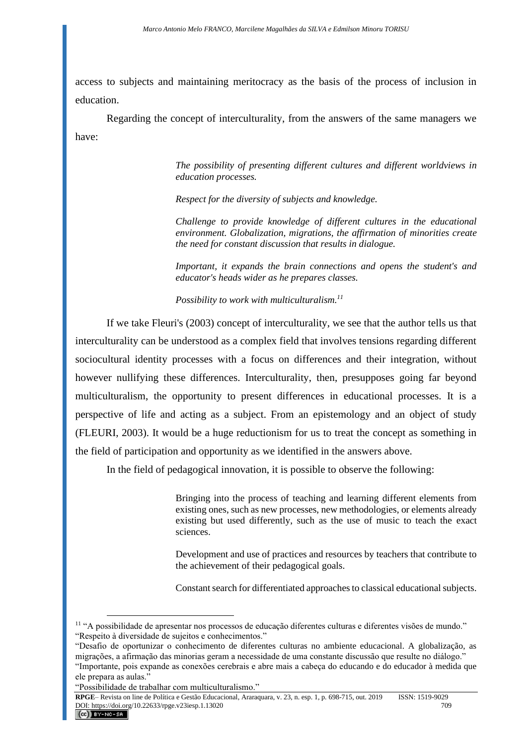access to subjects and maintaining meritocracy as the basis of the process of inclusion in education.

Regarding the concept of interculturality, from the answers of the same managers we have:

> *The possibility of presenting different cultures and different worldviews in education processes.*

*Respect for the diversity of subjects and knowledge.*

*Challenge to provide knowledge of different cultures in the educational environment. Globalization, migrations, the affirmation of minorities create the need for constant discussion that results in dialogue.*

*Important, it expands the brain connections and opens the student's and educator's heads wider as he prepares classes.*

*Possibility to work with multiculturalism.<sup>11</sup>*

If we take Fleuri's (2003) concept of interculturality, we see that the author tells us that interculturality can be understood as a complex field that involves tensions regarding different sociocultural identity processes with a focus on differences and their integration, without however nullifying these differences. Interculturality, then, presupposes going far beyond multiculturalism, the opportunity to present differences in educational processes. It is a perspective of life and acting as a subject. From an epistemology and an object of study (FLEURI, 2003). It would be a huge reductionism for us to treat the concept as something in the field of participation and opportunity as we identified in the answers above.

In the field of pedagogical innovation, it is possible to observe the following:

Bringing into the process of teaching and learning different elements from existing ones, such as new processes, new methodologies, or elements already existing but used differently, such as the use of music to teach the exact sciences.

Development and use of practices and resources by teachers that contribute to the achievement of their pedagogical goals.

Constant search for differentiated approaches to classical educational subjects.

<sup>11</sup> "A possibilidade de apresentar nos processos de educação diferentes culturas e diferentes visões de mundo." "Respeito à diversidade de sujeitos e conhecimentos."

<sup>&</sup>quot;Desafio de oportunizar o conhecimento de diferentes culturas no ambiente educacional. A globalização, as migrações, a afirmação das minorias geram a necessidade de uma constante discussão que resulte no diálogo."

<sup>&</sup>quot;Importante, pois expande as conexões cerebrais e abre mais a cabeça do educando e do educador à medida que ele prepara as aulas."

<sup>&</sup>quot;Possibilidade de trabalhar com multiculturalismo."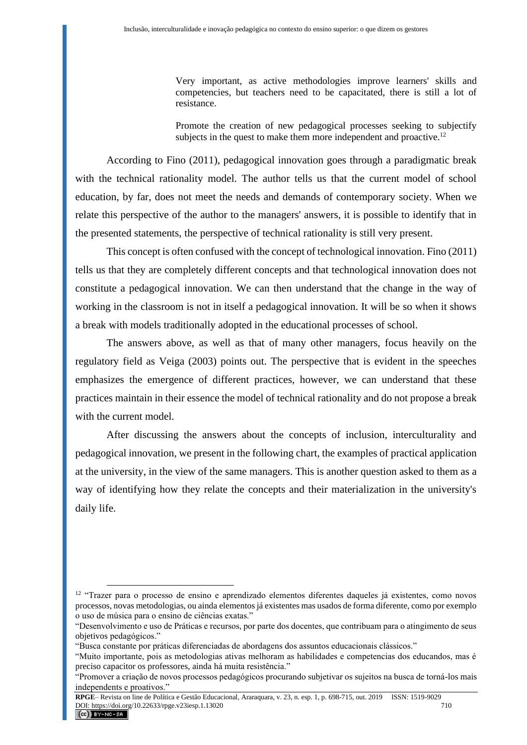Very important, as active methodologies improve learners' skills and competencies, but teachers need to be capacitated, there is still a lot of resistance.

Promote the creation of new pedagogical processes seeking to subjectify subjects in the quest to make them more independent and proactive.<sup>12</sup>

According to Fino (2011), pedagogical innovation goes through a paradigmatic break with the technical rationality model. The author tells us that the current model of school education, by far, does not meet the needs and demands of contemporary society. When we relate this perspective of the author to the managers' answers, it is possible to identify that in the presented statements, the perspective of technical rationality is still very present.

This concept is often confused with the concept of technological innovation. Fino (2011) tells us that they are completely different concepts and that technological innovation does not constitute a pedagogical innovation. We can then understand that the change in the way of working in the classroom is not in itself a pedagogical innovation. It will be so when it shows a break with models traditionally adopted in the educational processes of school.

The answers above, as well as that of many other managers, focus heavily on the regulatory field as Veiga (2003) points out. The perspective that is evident in the speeches emphasizes the emergence of different practices, however, we can understand that these practices maintain in their essence the model of technical rationality and do not propose a break with the current model.

After discussing the answers about the concepts of inclusion, interculturality and pedagogical innovation, we present in the following chart, the examples of practical application at the university, in the view of the same managers. This is another question asked to them as a way of identifying how they relate the concepts and their materialization in the university's daily life.

<sup>&</sup>lt;sup>12</sup> "Trazer para o processo de ensino e aprendizado elementos diferentes daqueles já existentes, como novos processos, novas metodologias, ou ainda elementos já existentes mas usados de forma diferente, como por exemplo o uso de música para o ensino de ciências exatas."

<sup>&</sup>quot;Desenvolvimento e uso de Práticas e recursos, por parte dos docentes, que contribuam para o atingimento de seus objetivos pedagógicos."

<sup>&</sup>quot;Busca constante por práticas diferenciadas de abordagens dos assuntos educacionais clássicos."

<sup>&</sup>quot;Muito importante, pois as metodologias ativas melhoram as habilidades e competencias dos educandos, mas é preciso capacitor os professores, ainda há muita resistência."

<sup>&</sup>quot;Promover a criação de novos processos pedagógicos procurando subjetivar os sujeitos na busca de torná-los mais independents e proativos."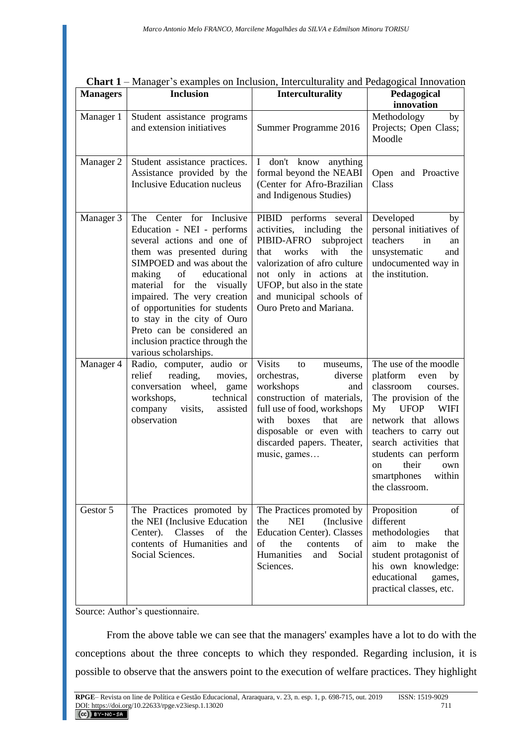| <b>Managers</b> | <b>Inclusion</b>                                                                                                                                                                                                                                                                                                                                                                                      | Interculturality                                                                                                                                                                                                                                                   | Pedagogical<br>innovation                                                                                                                                                                                                                                                                               |
|-----------------|-------------------------------------------------------------------------------------------------------------------------------------------------------------------------------------------------------------------------------------------------------------------------------------------------------------------------------------------------------------------------------------------------------|--------------------------------------------------------------------------------------------------------------------------------------------------------------------------------------------------------------------------------------------------------------------|---------------------------------------------------------------------------------------------------------------------------------------------------------------------------------------------------------------------------------------------------------------------------------------------------------|
| Manager 1       | Student assistance programs<br>and extension initiatives                                                                                                                                                                                                                                                                                                                                              | Summer Programme 2016                                                                                                                                                                                                                                              | Methodology<br>by<br>Projects; Open Class;<br>Moodle                                                                                                                                                                                                                                                    |
| Manager 2       | Student assistance practices.<br>Assistance provided by the<br><b>Inclusive Education nucleus</b>                                                                                                                                                                                                                                                                                                     | $\bf{I}$<br>don't know anything<br>formal beyond the NEABI<br>(Center for Afro-Brazilian<br>and Indigenous Studies)                                                                                                                                                | Open and Proactive<br>Class                                                                                                                                                                                                                                                                             |
| Manager 3       | The Center for Inclusive<br>Education - NEI - performs<br>several actions and one of<br>them was presented during<br>SIMPOED and was about the<br>educational<br>making<br>of<br>material for<br>the visually<br>impaired. The very creation<br>of opportunities for students<br>to stay in the city of Ouro<br>Preto can be considered an<br>inclusion practice through the<br>various scholarships. | PIBID performs several<br>activities, including<br>the<br>PIBID-AFRO<br>subproject<br>works<br>with<br>the<br>that<br>valorization of afro culture<br>not only in actions at<br>UFOP, but also in the state<br>and municipal schools of<br>Ouro Preto and Mariana. | Developed<br>by<br>personal initiatives of<br>teachers<br>in<br>an<br>unsystematic<br>and<br>undocumented way in<br>the institution.                                                                                                                                                                    |
| Manager 4       | Radio, computer, audio or<br>reading,<br>relief<br>movies,<br>conversation<br>wheel,<br>game<br>technical<br>workshops,<br>visits,<br>company<br>assisted<br>observation                                                                                                                                                                                                                              | <b>Visits</b><br>to<br>museums,<br>orchestras,<br>diverse<br>workshops<br>and<br>construction of materials,<br>full use of food, workshops<br>with<br>that<br>boxes<br>are<br>disposable or even with<br>discarded papers. Theater,<br>music, games                | The use of the moodle<br>platform<br>by<br>even<br>classroom<br>courses.<br>The provision of the<br><b>UFOP</b><br>My<br><b>WIFI</b><br>network that allows<br>teachers to carry out<br>search activities that<br>students can perform<br>their<br>own<br>on<br>smartphones<br>within<br>the classroom. |
| Gestor 5        | The Practices promoted by<br>the NEI (Inclusive Education<br>Classes<br>of<br>Center).<br>the<br>contents of Humanities and<br>Social Sciences.                                                                                                                                                                                                                                                       | The Practices promoted by<br><b>NEI</b><br>(Inclusive)<br>the<br><b>Education Center). Classes</b><br>of<br>the<br>contents<br>of<br>Humanities<br>Social<br>and<br>Sciences.                                                                                      | Proposition<br>of<br>different<br>methodologies<br>that<br>aim to<br>make<br>the<br>student protagonist of<br>his own knowledge:<br>educational<br>games,<br>practical classes, etc.                                                                                                                    |

| Chart 1 – Manager's examples on Inclusion, Interculturality and Pedagogical Innovation |
|----------------------------------------------------------------------------------------|
|----------------------------------------------------------------------------------------|

Source: Author's questionnaire.

From the above table we can see that the managers' examples have a lot to do with the conceptions about the three concepts to which they responded. Regarding inclusion, it is possible to observe that the answers point to the execution of welfare practices. They highlight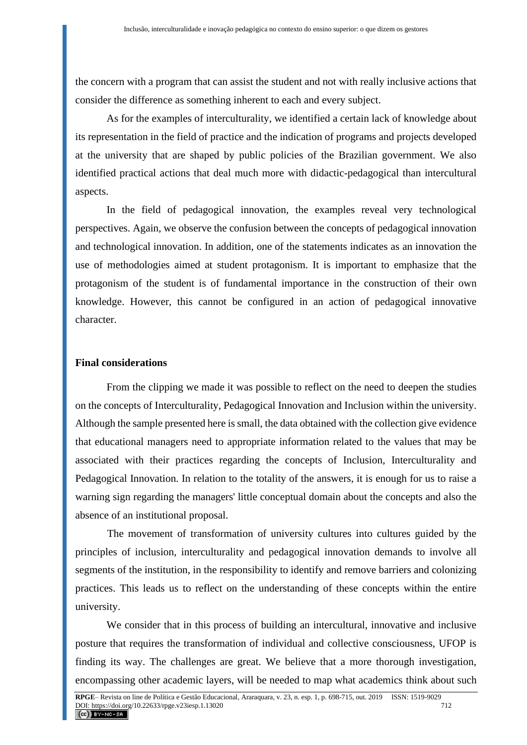the concern with a program that can assist the student and not with really inclusive actions that consider the difference as something inherent to each and every subject.

As for the examples of interculturality, we identified a certain lack of knowledge about its representation in the field of practice and the indication of programs and projects developed at the university that are shaped by public policies of the Brazilian government. We also identified practical actions that deal much more with didactic-pedagogical than intercultural aspects.

In the field of pedagogical innovation, the examples reveal very technological perspectives. Again, we observe the confusion between the concepts of pedagogical innovation and technological innovation. In addition, one of the statements indicates as an innovation the use of methodologies aimed at student protagonism. It is important to emphasize that the protagonism of the student is of fundamental importance in the construction of their own knowledge. However, this cannot be configured in an action of pedagogical innovative character.

#### **Final considerations**

From the clipping we made it was possible to reflect on the need to deepen the studies on the concepts of Interculturality, Pedagogical Innovation and Inclusion within the university. Although the sample presented here is small, the data obtained with the collection give evidence that educational managers need to appropriate information related to the values that may be associated with their practices regarding the concepts of Inclusion, Interculturality and Pedagogical Innovation. In relation to the totality of the answers, it is enough for us to raise a warning sign regarding the managers' little conceptual domain about the concepts and also the absence of an institutional proposal.

The movement of transformation of university cultures into cultures guided by the principles of inclusion, interculturality and pedagogical innovation demands to involve all segments of the institution, in the responsibility to identify and remove barriers and colonizing practices. This leads us to reflect on the understanding of these concepts within the entire university.

We consider that in this process of building an intercultural, innovative and inclusive posture that requires the transformation of individual and collective consciousness, UFOP is finding its way. The challenges are great. We believe that a more thorough investigation, encompassing other academic layers, will be needed to map what academics think about such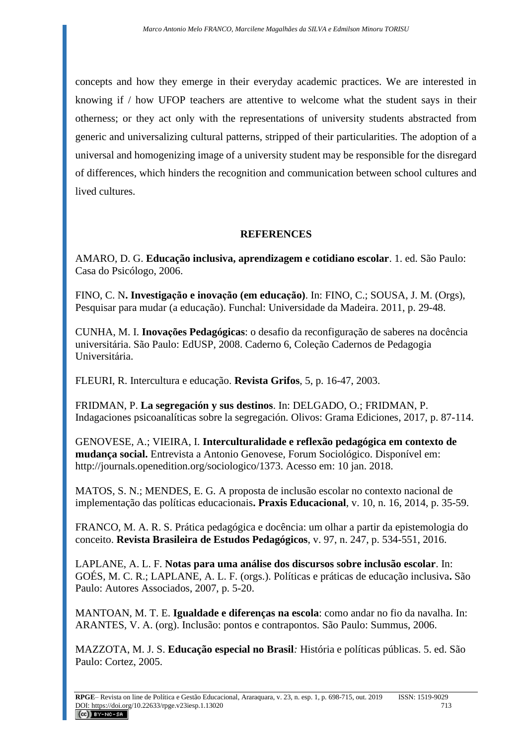concepts and how they emerge in their everyday academic practices. We are interested in knowing if / how UFOP teachers are attentive to welcome what the student says in their otherness; or they act only with the representations of university students abstracted from generic and universalizing cultural patterns, stripped of their particularities. The adoption of a universal and homogenizing image of a university student may be responsible for the disregard of differences, which hinders the recognition and communication between school cultures and lived cultures.

## **REFERENCES**

AMARO, D. G. **Educação inclusiva, aprendizagem e cotidiano escolar**. 1. ed. São Paulo: Casa do Psicólogo, 2006.

FINO, C. N**. Investigação e inovação (em educação)**. In: FINO, C.; SOUSA, J. M. (Orgs), Pesquisar para mudar (a educação). Funchal: Universidade da Madeira. 2011, p. 29-48.

CUNHA, M. I. **Inovações Pedagógicas**: o desafio da reconfiguração de saberes na docência universitária. São Paulo: EdUSP, 2008. Caderno 6, Coleção Cadernos de Pedagogia Universitária.

FLEURI, R. Intercultura e educação. **Revista Grifos**, 5, p. 16-47, 2003.

FRIDMAN, P. **La segregación y sus destinos**. In: DELGADO, O.; FRIDMAN, P. Indagaciones psicoanalíticas sobre la segregación. Olivos: Grama Ediciones, 2017, p. 87-114.

GENOVESE, A.; VIEIRA, I. **Interculturalidade e reflexão pedagógica em contexto de mudança social.** Entrevista a Antonio Genovese, Forum Sociológico. Disponível em: [http://journals.openedition.org/sociologico/1373.](http://journals.openedition.org/sociologico/1373) Acesso em: 10 jan. 2018.

MATOS, S. N.; MENDES, E. G*.* A proposta de inclusão escolar no contexto nacional de implementação das políticas educacionais**. Praxis Educacional**, v. 10, n. 16, 2014, p. 35-59.

FRANCO, M. A. R. S. Prática pedagógica e docência: um olhar a partir da epistemologia do conceito. **Revista Brasileira de Estudos Pedagógicos**, v. 97, n. 247, p. 534-551, 2016.

LAPLANE, A. L. F. **Notas para uma análise dos discursos sobre inclusão escolar**. In: GOÉS, M. C. R.; LAPLANE, A. L. F. (orgs.). Políticas e práticas de educação inclusiva**.** São Paulo: Autores Associados, 2007, p. 5-20.

MANTOAN, M. T. E. **Igualdade e diferenças na escola**: como andar no fio da navalha. In: ARANTES, V. A. (org). Inclusão: pontos e contrapontos*.* São Paulo: Summus, 2006.

MAZZOTA, M. J. S. **Educação especial no Brasil***:* História e políticas públicas. 5. ed. São Paulo: Cortez, 2005.